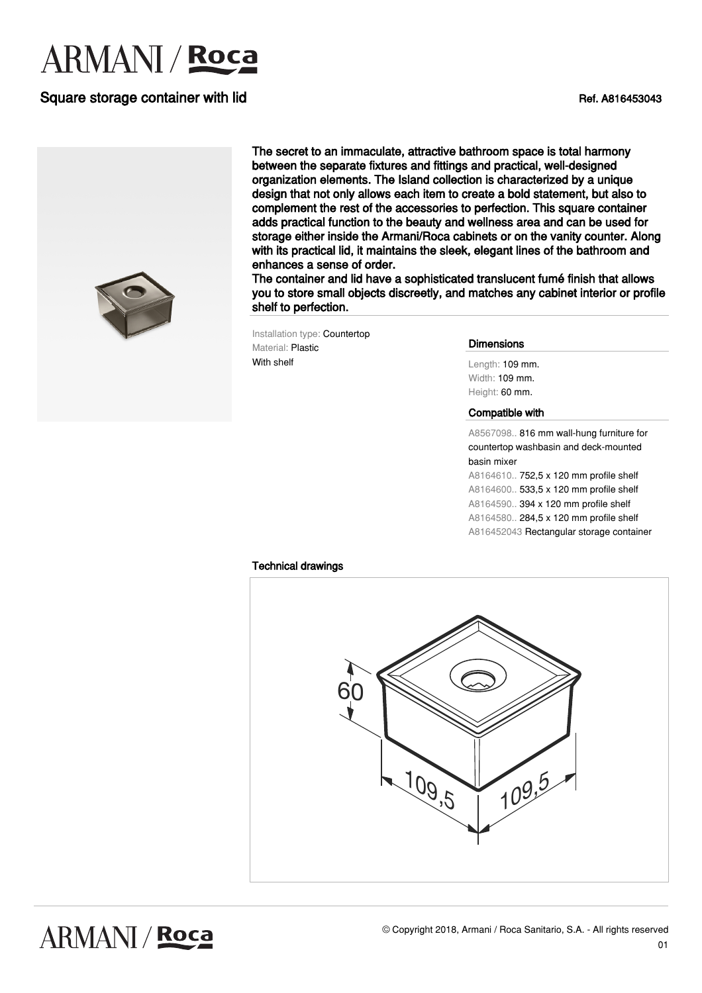# **ARMANI** / **Roca**

### Square storage container with lid Ref. A816453043



The secret to an immaculate, attractive bathroom space is total harmony between the separate fixtures and fittings and practical, well-designed organization elements. The Island collection is characterized by a unique design that not only allows each item to create a bold statement, but also to complement the rest of the accessories to perfection. This square container adds practical function to the beauty and wellness area and can be used for storage either inside the Armani/Roca cabinets or on the vanity counter. Along with its practical lid, it maintains the sleek, elegant lines of the bathroom and enhances a sense of order.

The container and lid have a sophisticated translucent fumé finish that allows you to store small objects discreetly, and matches any cabinet interior or profile shelf to perfection.

Installation type: Countertop Material: Plastic With shelf

#### Dimensions

Length: 109 mm. Width: 109 mm. Height: 60 mm.

#### Compatible with

A8567098.. 816 mm wall-hung furniture for countertop washbasin and deck-mounted basin mixer

A8164610.. 752,5 x 120 mm profile shelf A8164600.. 533,5 x 120 mm profile shelf A8164590.. 394 x 120 mm profile shelf A8164580.. 284,5 x 120 mm profile shelf A816452043 Rectangular storage container

#### Technical drawings



**ARMANI / Roca**